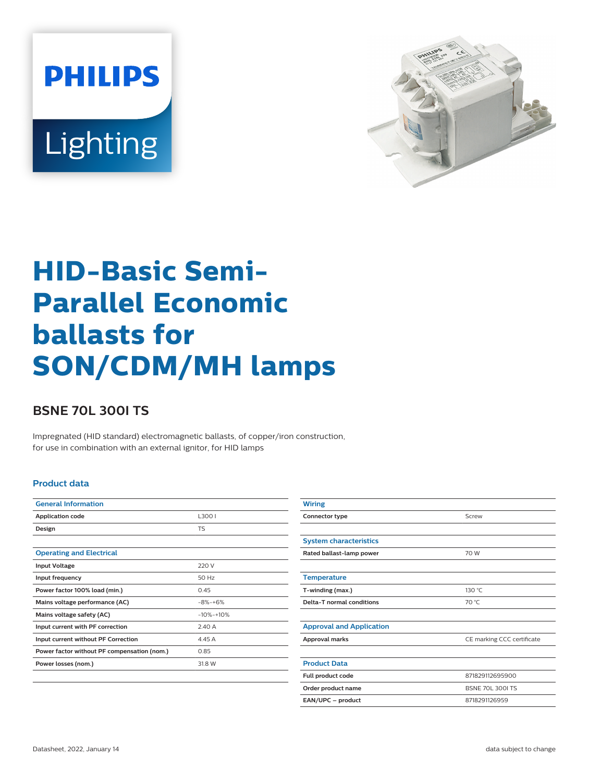



# **HID-Basic Semi-Parallel Economic ballasts for SON/CDM/MH lamps**

## **BSNE 70L 300I TS**

Impregnated (HID standard) electromagnetic ballasts, of copper/iron construction, for use in combination with an external ignitor, for HID lamps

#### **Product data**

| <b>General Information</b>                  |               |  |
|---------------------------------------------|---------------|--|
| <b>Application code</b>                     | L3001         |  |
| Design                                      | <b>TS</b>     |  |
|                                             |               |  |
| <b>Operating and Electrical</b>             |               |  |
| <b>Input Voltage</b>                        | 220 V         |  |
| Input frequency                             | 50 Hz         |  |
| Power factor 100% load (min.)               | 0.45          |  |
| Mains voltage performance (AC)              | $-8\% - +6\%$ |  |
| Mains voltage safety (AC)                   | $-10% -10%$   |  |
| Input current with PF correction            | 2.40 A        |  |
| Input current without PF Correction         | 4.45 A        |  |
| Power factor without PF compensation (nom.) | 0.85          |  |
| Power losses (nom.)                         | 31.8 W        |  |
|                                             |               |  |

| <b>Wiring</b>                                 |                            |  |  |
|-----------------------------------------------|----------------------------|--|--|
| Connector type                                | Screw                      |  |  |
|                                               |                            |  |  |
| <b>System characteristics</b>                 |                            |  |  |
| Rated ballast-lamp power                      | 70 W                       |  |  |
|                                               |                            |  |  |
| <b>Temperature</b>                            |                            |  |  |
| T-winding (max.)                              | 130 °C                     |  |  |
| Delta-T normal conditions                     | 70 °C                      |  |  |
|                                               |                            |  |  |
| <b>Approval and Application</b>               |                            |  |  |
| Approval marks                                | CE marking CCC certificate |  |  |
|                                               |                            |  |  |
| <b>Product Data</b>                           |                            |  |  |
| Full product code                             | 871829112695900            |  |  |
| Order product name<br><b>BSNE 70L 300I TS</b> |                            |  |  |
| EAN/UPC - product                             | 8718291126959              |  |  |
|                                               |                            |  |  |